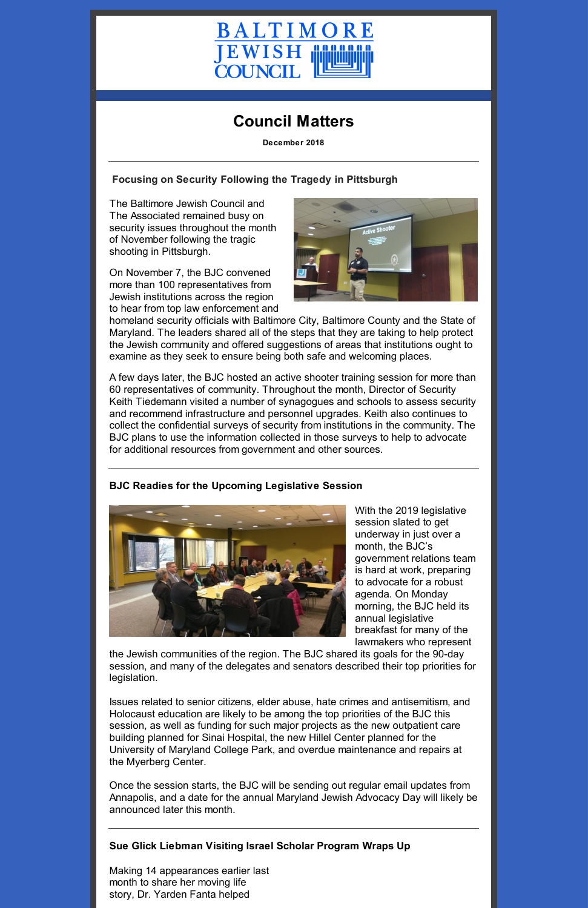

# **Council Matters**

**December 2018**

### **Focusing on Security Following the Tragedy in Pittsburgh**

The Baltimore Jewish Council and The Associated remained busy on security issues throughout the month of November following the tragic shooting in Pittsburgh.

On November 7, the BJC convened more than 100 representatives from Jewish institutions across the region to hear from top law enforcement and



homeland security officials with Baltimore City, Baltimore County and the State of Maryland. The leaders shared all of the steps that they are taking to help protect the Jewish community and offered suggestions of areas that institutions ought to examine as they seek to ensure being both safe and welcoming places.

A few days later, the BJC hosted an active shooter training session for more than 60 representatives of community. Throughout the month, Director of Security Keith Tiedemann visited a number of synagogues and schools to assess security and recommend infrastructure and personnel upgrades. Keith also continues to collect the confidential surveys of security from institutions in the community. The BJC plans to use the information collected in those surveys to help to advocate for additional resources from government and other sources.

#### **BJC Readies for the Upcoming Legislative Session**



With the 2019 legislative session slated to get underway in just over a month, the BJC's government relations team is hard at work, preparing to advocate for a robust agenda. On Monday morning, the BJC held its annual legislative breakfast for many of the lawmakers who represent

the Jewish communities of the region. The BJC shared its goals for the 90-day session, and many of the delegates and senators described their top priorities for legislation.

Issues related to senior citizens, elder abuse, hate crimes and antisemitism, and Holocaust education are likely to be among the top priorities of the BJC this session, as well as funding for such major projects as the new outpatient care building planned for Sinai Hospital, the new Hillel Center planned for the University of Maryland College Park, and overdue maintenance and repairs at the Myerberg Center.

Once the session starts, the BJC will be sending out regular email updates from Annapolis, and a date for the annual Maryland Jewish Advocacy Day will likely be announced later this month.

**Sue Glick Liebman Visiting Israel Scholar Program Wraps Up**

Making 14 appearances earlier last month to share her moving life story, Dr. Yarden Fanta helped